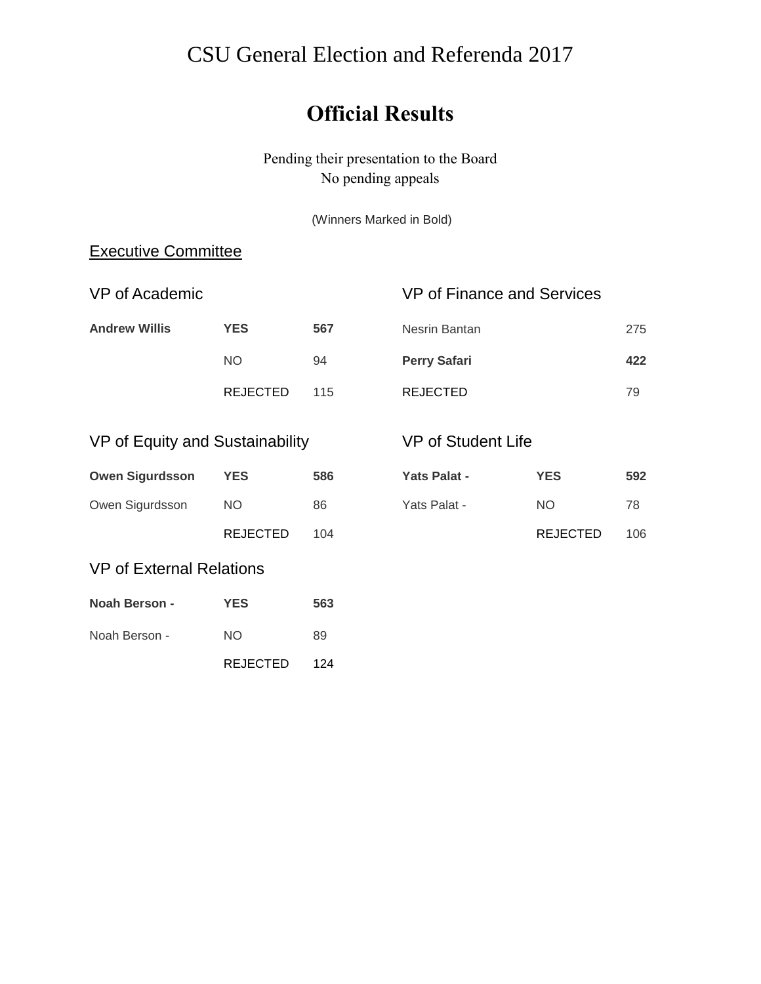# CSU General Election and Referenda 2017

# **Official Results**

Pending their presentation to the Board No pending appeals

(Winners Marked in Bold)

### Executive Committee

| VP of Academic       |                 | VP of Finance and Services |                     |     |
|----------------------|-----------------|----------------------------|---------------------|-----|
| <b>Andrew Willis</b> | <b>YES</b>      | 567                        | Nesrin Bantan       | 275 |
|                      | NO.             | 94                         | <b>Perry Safari</b> | 422 |
|                      | <b>REJECTED</b> | 115                        | REJECTED            | 79  |

## VP of Equity and Sustainability

| <b>Owen Sigurdsson</b> | YES             | 586 |
|------------------------|-----------------|-----|
| Owen Sigurdsson        | NO.             | 86  |
|                        | <b>REJECTED</b> | 104 |

### VP of Student Life

| Yats Palat - | <b>YES</b>      | 592 |
|--------------|-----------------|-----|
| Yats Palat - | NO.             | 78  |
|              | <b>REJECTED</b> | 106 |

### VP of External Relations

| <b>Noah Berson -</b> | <b>YES</b>      | 563 |
|----------------------|-----------------|-----|
| Noah Berson -        | NO.             | 89  |
|                      | <b>REJECTED</b> | 124 |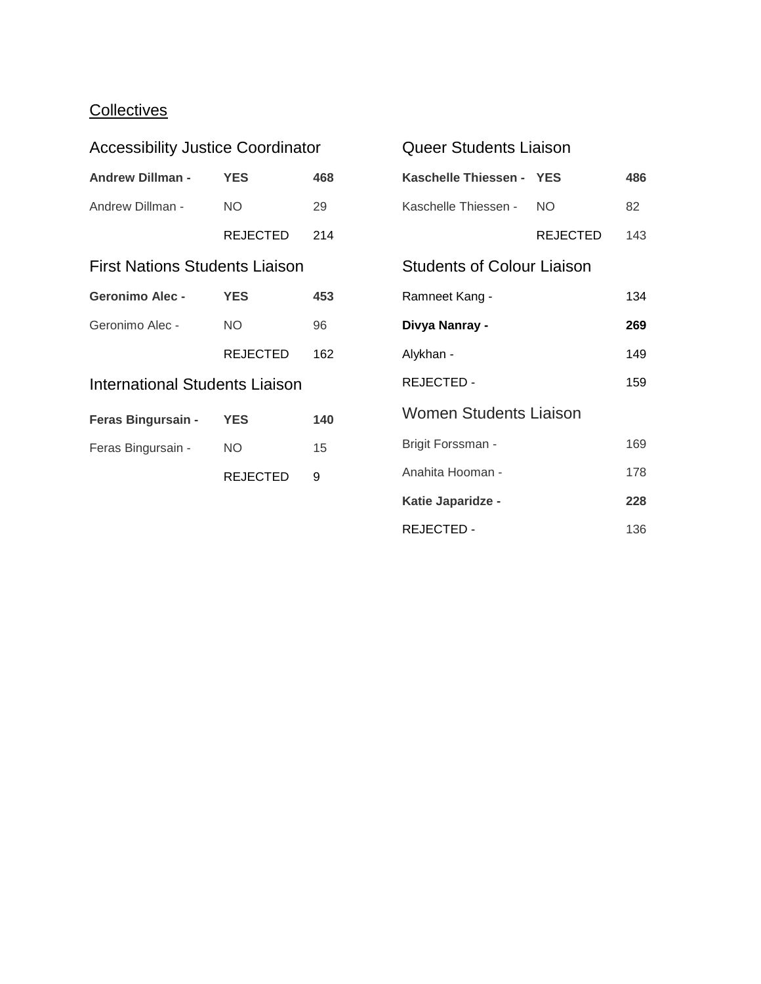## **Collectives**

| <b>Accessibility Justice Coordinator</b> |                                                                               |  |  |
|------------------------------------------|-------------------------------------------------------------------------------|--|--|
| <b>YES</b>                               | 468                                                                           |  |  |
| NO.                                      | 29                                                                            |  |  |
|                                          |                                                                               |  |  |
| <b>First Nations Students Liaison</b>    |                                                                               |  |  |
| <b>YES</b>                               | 453                                                                           |  |  |
| <b>NO</b>                                | 96                                                                            |  |  |
|                                          | 162                                                                           |  |  |
| <b>International Students Liaison</b>    |                                                                               |  |  |
|                                          | 140                                                                           |  |  |
| NO                                       | 15                                                                            |  |  |
| REJECTED                                 | 9                                                                             |  |  |
|                                          | <b>Andrew Dillman -</b><br>REJECTED 214<br>REJECTED<br>Feras Bingursain - YES |  |  |

| Queer Students Liaison            |          |     |
|-----------------------------------|----------|-----|
| Kaschelle Thiessen - YES          |          | 486 |
| Kaschelle Thiessen -              | NO.      | 82  |
|                                   | REJECTED | 143 |
| <b>Students of Colour Liaison</b> |          |     |
| Ramneet Kang -                    |          | 134 |
| Divya Nanray -                    |          | 269 |
| Alykhan -                         |          | 149 |
| REJECTED-                         |          | 159 |
| Women Students Liaison            |          |     |
| Brigit Forssman -                 |          | 169 |
| Anahita Hooman -                  |          | 178 |
| Katie Japaridze -                 |          | 228 |
| REJECTED -                        |          | 136 |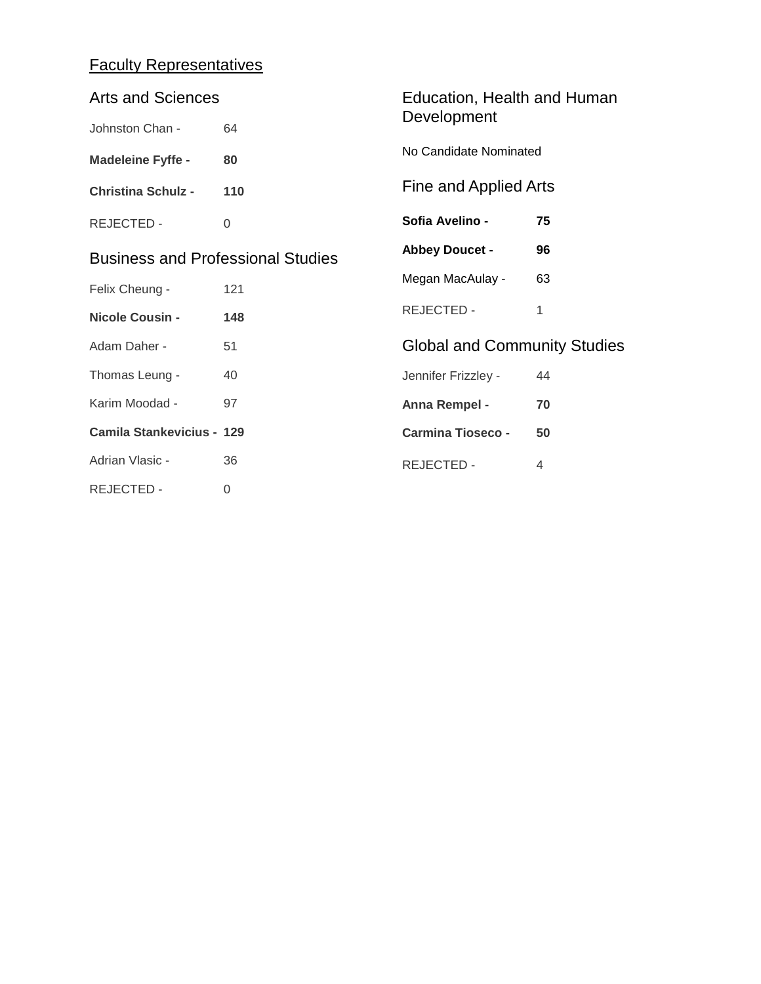## Faculty Representatives

| <b>Arts and Sciences</b>                 |          | Education, Health and Human         |                |
|------------------------------------------|----------|-------------------------------------|----------------|
| Johnston Chan -                          | 64       | Development                         |                |
| <b>Madeleine Fyffe -</b>                 | 80       | No Candidate Nominated              |                |
| <b>Christina Schulz -</b>                | 110      | Fine and Applied Arts               |                |
| <b>REJECTED -</b>                        | $\Omega$ | Sofia Avelino -                     | 75             |
| <b>Business and Professional Studies</b> |          | <b>Abbey Doucet -</b>               | 96             |
| Felix Cheung -                           | 121      | Megan MacAulay -                    | 63             |
| <b>Nicole Cousin -</b>                   | 148      | REJECTED -                          | 1              |
| Adam Daher -                             | 51       | <b>Global and Community Studies</b> |                |
| Thomas Leung -                           | 40       | Jennifer Frizzley -                 | 44             |
| Karim Moodad -                           | 97       | Anna Rempel -                       | 70             |
| <b>Camila Stankevicius - 129</b>         |          | <b>Carmina Tioseco -</b>            | 50             |
| Adrian Vlasic -                          | 36       | REJECTED -                          | $\overline{4}$ |
| <b>REJECTED -</b>                        | 0        |                                     |                |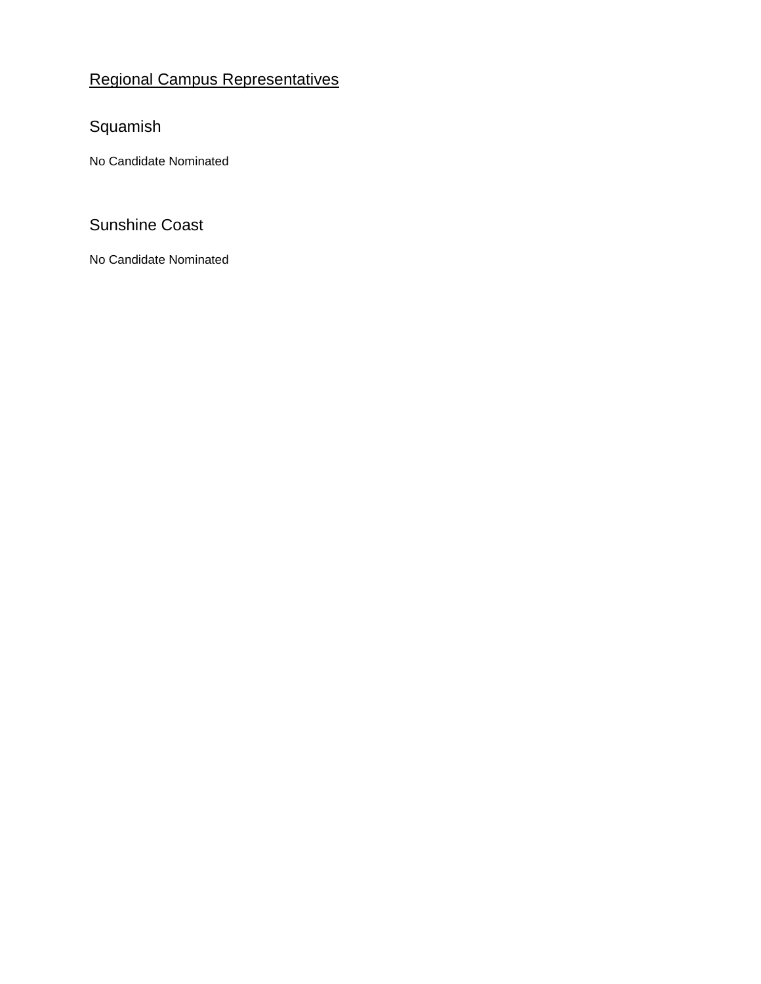## Regional Campus Representatives

## Squamish

No Candidate Nominated

### Sunshine Coast

No Candidate Nominated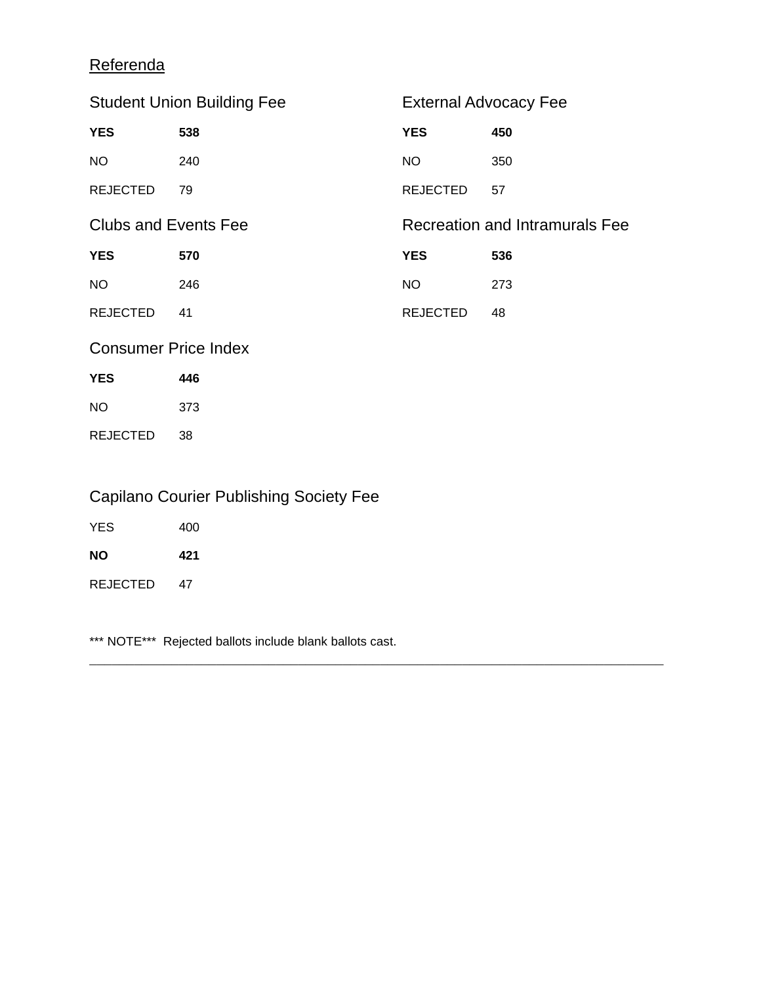## **Referenda**

| <b>Student Union Building Fee</b> |     | <b>External Advocacy Fee</b>   |     |
|-----------------------------------|-----|--------------------------------|-----|
| <b>YES</b>                        | 538 | <b>YES</b>                     | 450 |
| NO                                | 240 | NO                             | 350 |
| <b>REJECTED</b>                   | 79  | <b>REJECTED</b>                | 57  |
| <b>Clubs and Events Fee</b>       |     | Recreation and Intramurals Fee |     |
|                                   |     |                                |     |
| <b>YES</b>                        | 570 | <b>YES</b>                     | 536 |
| NO                                | 246 | NO                             | 273 |
| <b>REJECTED</b>                   | 41  | <b>REJECTED</b>                | 48  |

 $\mathcal{L}_\mathcal{L} = \mathcal{L}_\mathcal{L} = \mathcal{L}_\mathcal{L} = \mathcal{L}_\mathcal{L} = \mathcal{L}_\mathcal{L} = \mathcal{L}_\mathcal{L} = \mathcal{L}_\mathcal{L} = \mathcal{L}_\mathcal{L} = \mathcal{L}_\mathcal{L} = \mathcal{L}_\mathcal{L} = \mathcal{L}_\mathcal{L} = \mathcal{L}_\mathcal{L} = \mathcal{L}_\mathcal{L} = \mathcal{L}_\mathcal{L} = \mathcal{L}_\mathcal{L} = \mathcal{L}_\mathcal{L} = \mathcal{L}_\mathcal{L}$ 

### Consumer Price Index

| YES      | 446 |
|----------|-----|
| NΟ       | 373 |
| REJECTED | 38  |

## Capilano Courier Publishing Society Fee

| <b>YES</b>      | 400 |
|-----------------|-----|
| <b>NO</b>       | 421 |
| <b>REJECTED</b> | 47  |

\*\*\* NOTE\*\*\* Rejected ballots include blank ballots cast.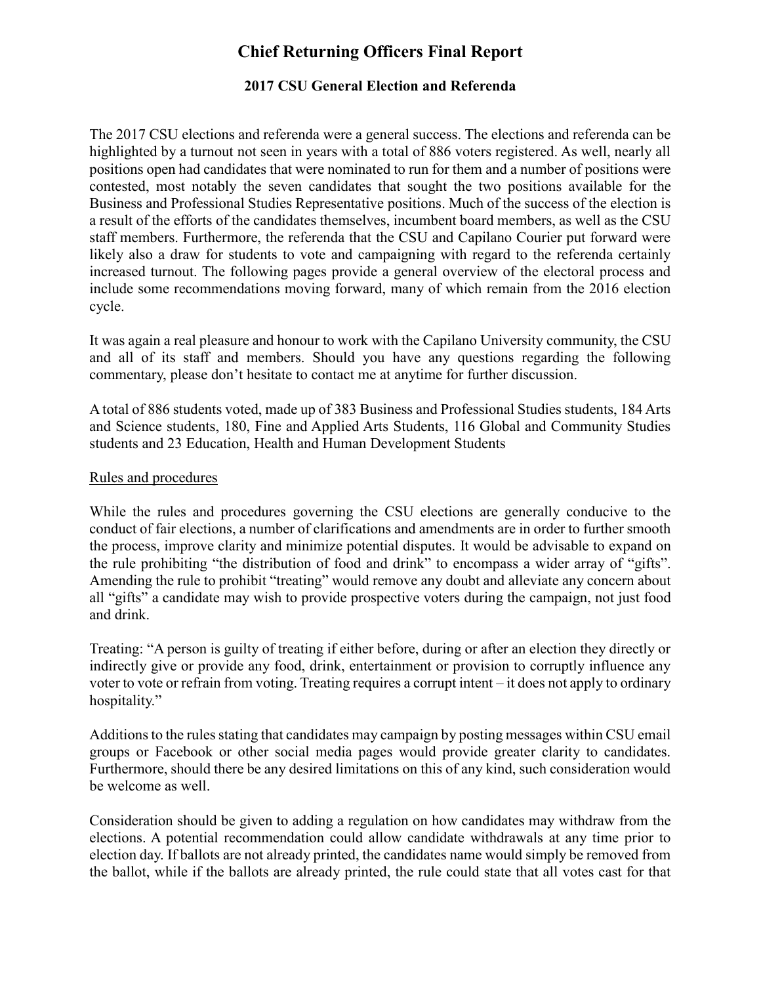### **Chief Returning Officers Final Report**

#### **2017 CSU General Election and Referenda**

The 2017 CSU elections and referenda were a general success. The elections and referenda can be highlighted by a turnout not seen in years with a total of 886 voters registered. As well, nearly all positions open had candidates that were nominated to run for them and a number of positions were contested, most notably the seven candidates that sought the two positions available for the Business and Professional Studies Representative positions. Much of the success of the election is a result of the efforts of the candidates themselves, incumbent board members, as well as the CSU staff members. Furthermore, the referenda that the CSU and Capilano Courier put forward were likely also a draw for students to vote and campaigning with regard to the referenda certainly increased turnout. The following pages provide a general overview of the electoral process and include some recommendations moving forward, many of which remain from the 2016 election cycle.

It was again a real pleasure and honour to work with the Capilano University community, the CSU and all of its staff and members. Should you have any questions regarding the following commentary, please don't hesitate to contact me at anytime for further discussion.

A total of 886 students voted, made up of 383 Business and Professional Studies students, 184 Arts and Science students, 180, Fine and Applied Arts Students, 116 Global and Community Studies students and 23 Education, Health and Human Development Students

#### Rules and procedures

While the rules and procedures governing the CSU elections are generally conducive to the conduct of fair elections, a number of clarifications and amendments are in order to further smooth the process, improve clarity and minimize potential disputes. It would be advisable to expand on the rule prohibiting "the distribution of food and drink" to encompass a wider array of "gifts". Amending the rule to prohibit "treating" would remove any doubt and alleviate any concern about all "gifts" a candidate may wish to provide prospective voters during the campaign, not just food and drink.

Treating: "A person is guilty of treating if either before, during or after an election they directly or indirectly give or provide any food, drink, entertainment or provision to corruptly influence any voter to vote or refrain from voting. Treating requires a corrupt intent – it does not apply to ordinary hospitality."

Additions to the rules stating that candidates may campaign by posting messages within CSU email groups or Facebook or other social media pages would provide greater clarity to candidates. Furthermore, should there be any desired limitations on this of any kind, such consideration would be welcome as well.

Consideration should be given to adding a regulation on how candidates may withdraw from the elections. A potential recommendation could allow candidate withdrawals at any time prior to election day. If ballots are not already printed, the candidates name would simply be removed from the ballot, while if the ballots are already printed, the rule could state that all votes cast for that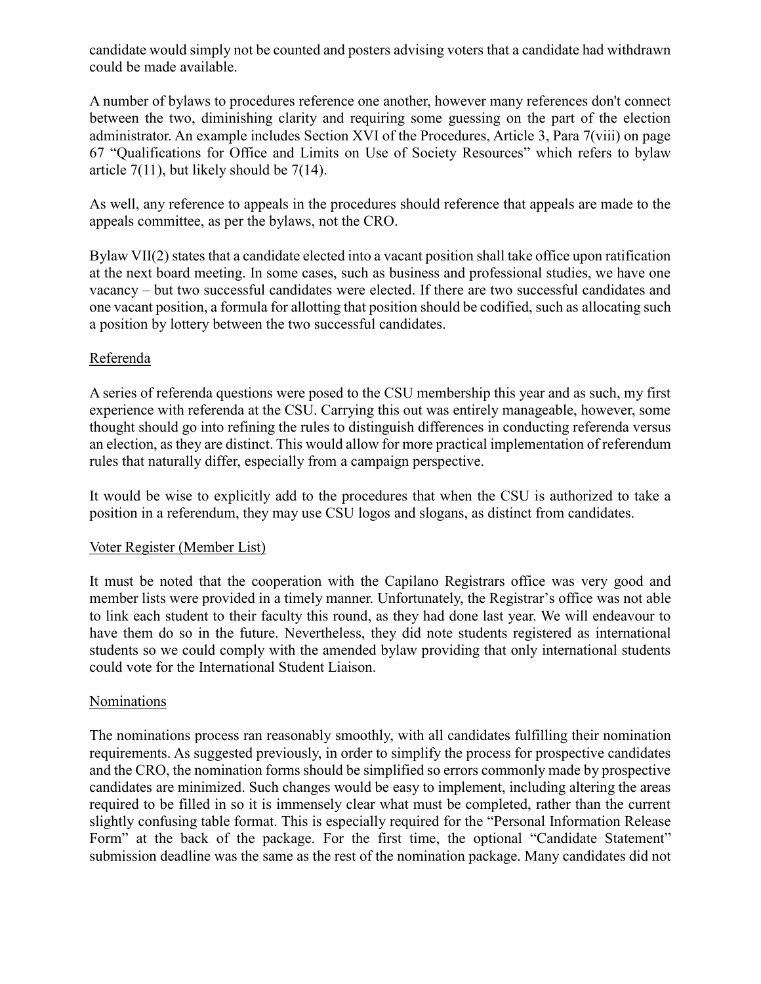candidate would simply not be counted and posters advising voters that a candidate had withdrawn could be made available.

A number of bylaws to procedures reference one another, however many references don't connect between the two, diminishing clarity and requiring some guessing on the part of the election administrator. An example includes Section XVI of the Procedures, Article 3, Para 7(viii) on page 67 "Qualifications for Office and Limits on Use of Society Resources" which refers to bylaw article  $7(11)$ , but likely should be  $7(14)$ .

As well, any reference to appeals in the procedures should reference that appeals are made to the appeals committee, as per the bylaws, not the CRO.

Bylaw VII(2) states that a candidate elected into a vacant position shall take office upon ratification at the next board meeting. In some cases, such as business and professional studies, we have one vacancy – but two successful candidates were elected. If there are two successful candidates and one vacant position, a formula for allotting that position should be codified, such as allocating such a position by lottery between the two successful candidates.

#### Referenda

A series of referenda questions were posed to the CSU membership this year and as such, my first experience with referenda at the CSU. Carrying this out was entirely manageable, however, some thought should go into refining the rules to distinguish differences in conducting referenda versus an election, as they are distinct. This would allow for more practical implementation of referendum rules that naturally differ, especially from a campaign perspective.

It would be wise to explicitly add to the procedures that when the CSU is authorized to take a position in a referendum, they may use CSU logos and slogans, as distinct from candidates.

#### Voter Register (Member List)

It must be noted that the cooperation with the Capilano Registrars office was very good and member lists were provided in a timely manner. Unfortunately, the Registrar's office was not able to link each student to their faculty this round, as they had done last year. We will endeavour to have them do so in the future. Nevertheless, they did note students registered as international students so we could comply with the amended bylaw providing that only international students could vote for the International Student Liaison.

#### Nominations

The nominations process ran reasonably smoothly, with all candidates fulfilling their nomination requirements. As suggested previously, in order to simplify the process for prospective candidates and the CRO, the nomination forms should be simplified so errors commonly made by prospective candidates are minimized. Such changes would be easy to implement, including altering the areas required to be filled in so it is immensely clear what must be completed, rather than the current slightly confusing table format. This is especially required for the "Personal Information Release Form" at the back of the package. For the first time, the optional "Candidate Statement" submission deadline was the same as the rest of the nomination package. Many candidates did not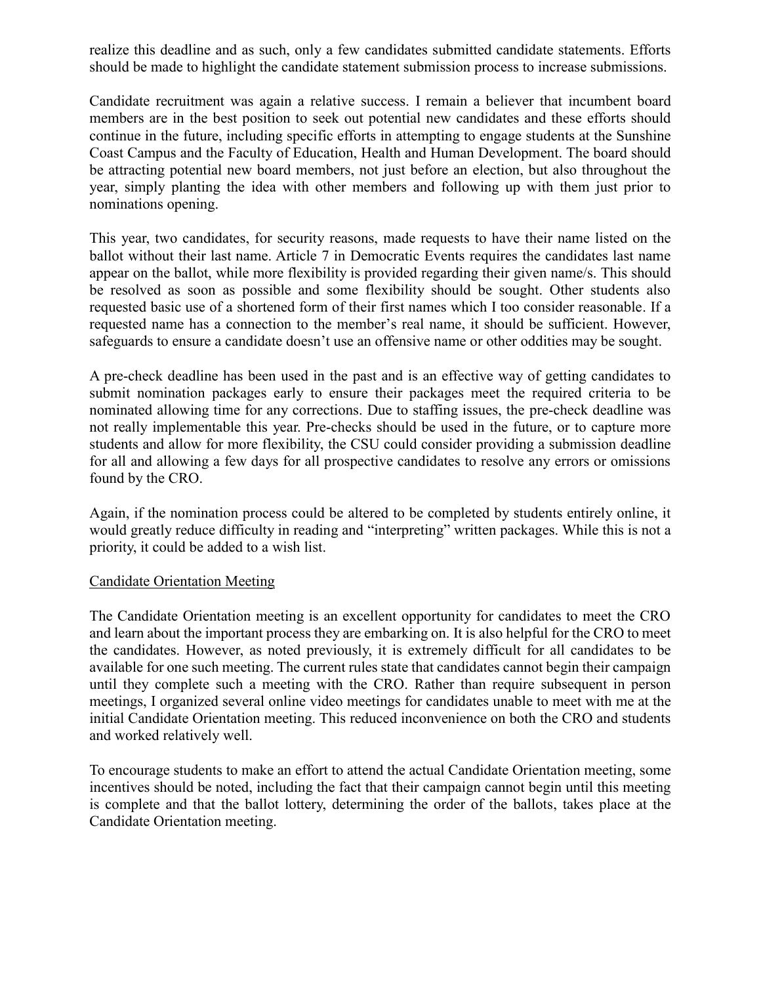realize this deadline and as such, only a few candidates submitted candidate statements. Efforts should be made to highlight the candidate statement submission process to increase submissions.

Candidate recruitment was again a relative success. I remain a believer that incumbent board members are in the best position to seek out potential new candidates and these efforts should continue in the future, including specific efforts in attempting to engage students at the Sunshine Coast Campus and the Faculty of Education, Health and Human Development. The board should be attracting potential new board members, not just before an election, but also throughout the year, simply planting the idea with other members and following up with them just prior to nominations opening.

This year, two candidates, for security reasons, made requests to have their name listed on the ballot without their last name. Article 7 in Democratic Events requires the candidates last name appear on the ballot, while more flexibility is provided regarding their given name/s. This should be resolved as soon as possible and some flexibility should be sought. Other students also requested basic use of a shortened form of their first names which I too consider reasonable. If a requested name has a connection to the member's real name, it should be sufficient. However, safeguards to ensure a candidate doesn't use an offensive name or other oddities may be sought.

A pre-check deadline has been used in the past and is an effective way of getting candidates to submit nomination packages early to ensure their packages meet the required criteria to be nominated allowing time for any corrections. Due to staffing issues, the pre-check deadline was not really implementable this year. Pre-checks should be used in the future, or to capture more students and allow for more flexibility, the CSU could consider providing a submission deadline for all and allowing a few days for all prospective candidates to resolve any errors or omissions found by the CRO.

Again, if the nomination process could be altered to be completed by students entirely online, it would greatly reduce difficulty in reading and "interpreting" written packages. While this is not a priority, it could be added to a wish list.

#### Candidate Orientation Meeting

The Candidate Orientation meeting is an excellent opportunity for candidates to meet the CRO and learn about the important process they are embarking on. It is also helpful for the CRO to meet the candidates. However, as noted previously, it is extremely difficult for all candidates to be available for one such meeting. The current rules state that candidates cannot begin their campaign until they complete such a meeting with the CRO. Rather than require subsequent in person meetings, I organized several online video meetings for candidates unable to meet with me at the initial Candidate Orientation meeting. This reduced inconvenience on both the CRO and students and worked relatively well.

To encourage students to make an effort to attend the actual Candidate Orientation meeting, some incentives should be noted, including the fact that their campaign cannot begin until this meeting is complete and that the ballot lottery, determining the order of the ballots, takes place at the Candidate Orientation meeting.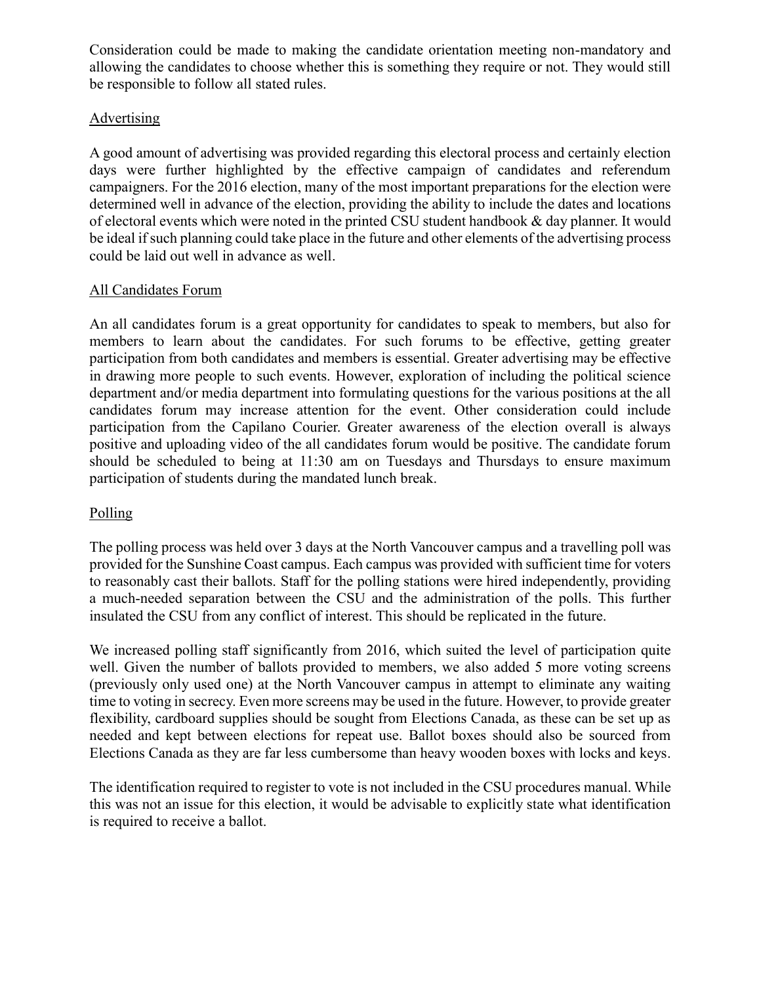Consideration could be made to making the candidate orientation meeting non-mandatory and allowing the candidates to choose whether this is something they require or not. They would still be responsible to follow all stated rules.

#### Advertising

A good amount of advertising was provided regarding this electoral process and certainly election days were further highlighted by the effective campaign of candidates and referendum campaigners. For the 2016 election, many of the most important preparations for the election were determined well in advance of the election, providing the ability to include the dates and locations of electoral events which were noted in the printed CSU student handbook & day planner. It would be ideal if such planning could take place in the future and other elements of the advertising process could be laid out well in advance as well.

#### All Candidates Forum

An all candidates forum is a great opportunity for candidates to speak to members, but also for members to learn about the candidates. For such forums to be effective, getting greater participation from both candidates and members is essential. Greater advertising may be effective in drawing more people to such events. However, exploration of including the political science department and/or media department into formulating questions for the various positions at the all candidates forum may increase attention for the event. Other consideration could include participation from the Capilano Courier. Greater awareness of the election overall is always positive and uploading video of the all candidates forum would be positive. The candidate forum should be scheduled to being at 11:30 am on Tuesdays and Thursdays to ensure maximum participation of students during the mandated lunch break.

#### Polling

The polling process was held over 3 days at the North Vancouver campus and a travelling poll was provided for the Sunshine Coast campus. Each campus was provided with sufficient time for voters to reasonably cast their ballots. Staff for the polling stations were hired independently, providing a much-needed separation between the CSU and the administration of the polls. This further insulated the CSU from any conflict of interest. This should be replicated in the future.

We increased polling staff significantly from 2016, which suited the level of participation quite well. Given the number of ballots provided to members, we also added 5 more voting screens (previously only used one) at the North Vancouver campus in attempt to eliminate any waiting time to voting in secrecy. Even more screens may be used in the future. However, to provide greater flexibility, cardboard supplies should be sought from Elections Canada, as these can be set up as needed and kept between elections for repeat use. Ballot boxes should also be sourced from Elections Canada as they are far less cumbersome than heavy wooden boxes with locks and keys.

The identification required to register to vote is not included in the CSU procedures manual. While this was not an issue for this election, it would be advisable to explicitly state what identification is required to receive a ballot.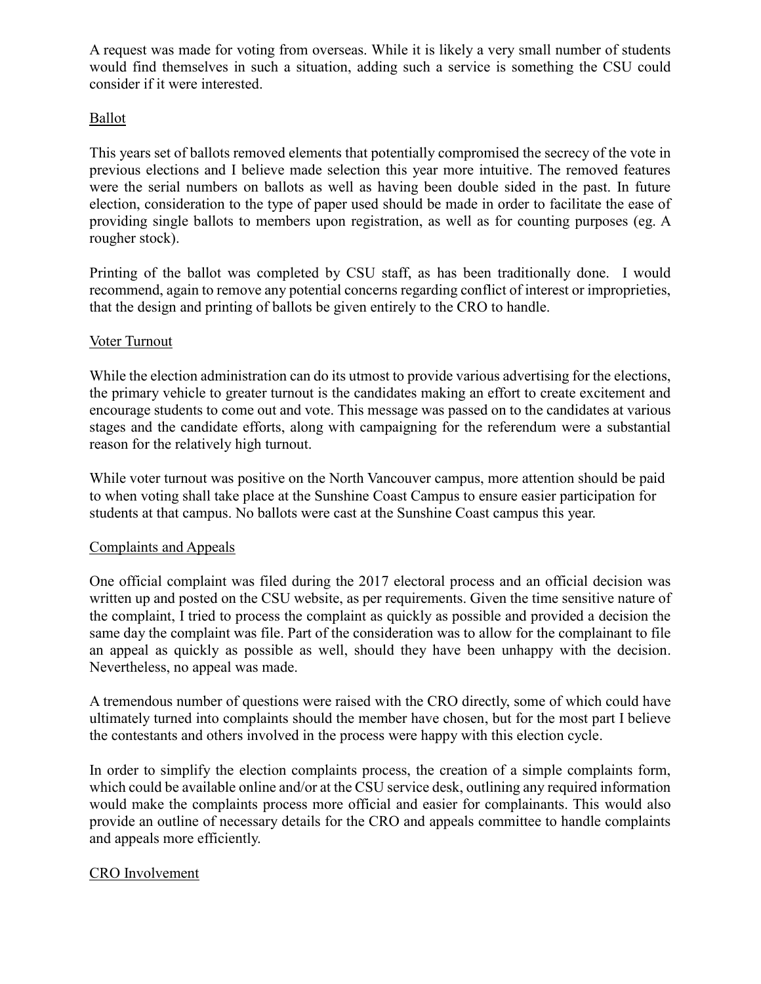A request was made for voting from overseas. While it is likely a very small number of students would find themselves in such a situation, adding such a service is something the CSU could consider if it were interested.

#### Ballot

This years set of ballots removed elements that potentially compromised the secrecy of the vote in previous elections and I believe made selection this year more intuitive. The removed features were the serial numbers on ballots as well as having been double sided in the past. In future election, consideration to the type of paper used should be made in order to facilitate the ease of providing single ballots to members upon registration, as well as for counting purposes (eg. A rougher stock).

Printing of the ballot was completed by CSU staff, as has been traditionally done. I would recommend, again to remove any potential concerns regarding conflict of interest or improprieties, that the design and printing of ballots be given entirely to the CRO to handle.

#### Voter Turnout

While the election administration can do its utmost to provide various advertising for the elections, the primary vehicle to greater turnout is the candidates making an effort to create excitement and encourage students to come out and vote. This message was passed on to the candidates at various stages and the candidate efforts, along with campaigning for the referendum were a substantial reason for the relatively high turnout.

While voter turnout was positive on the North Vancouver campus, more attention should be paid to when voting shall take place at the Sunshine Coast Campus to ensure easier participation for students at that campus. No ballots were cast at the Sunshine Coast campus this year.

#### Complaints and Appeals

One official complaint was filed during the 2017 electoral process and an official decision was written up and posted on the CSU website, as per requirements. Given the time sensitive nature of the complaint, I tried to process the complaint as quickly as possible and provided a decision the same day the complaint was file. Part of the consideration was to allow for the complainant to file an appeal as quickly as possible as well, should they have been unhappy with the decision. Nevertheless, no appeal was made.

A tremendous number of questions were raised with the CRO directly, some of which could have ultimately turned into complaints should the member have chosen, but for the most part I believe the contestants and others involved in the process were happy with this election cycle.

In order to simplify the election complaints process, the creation of a simple complaints form, which could be available online and/or at the CSU service desk, outlining any required information would make the complaints process more official and easier for complainants. This would also provide an outline of necessary details for the CRO and appeals committee to handle complaints and appeals more efficiently.

#### CRO Involvement